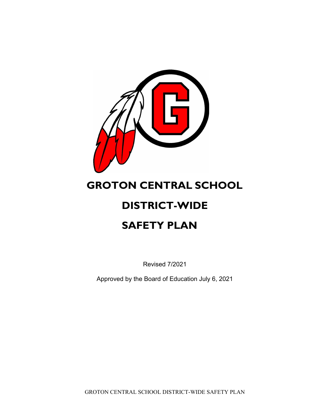

# **GROTON CENTRAL SCHOOL**

# **DISTRICT-WIDE**

# **SAFETY PLAN**

Revised 7/2021

Approved by the Board of Education July 6, 2021

GROTON CENTRAL SCHOOL DISTRICT-WIDE SAFETY PLAN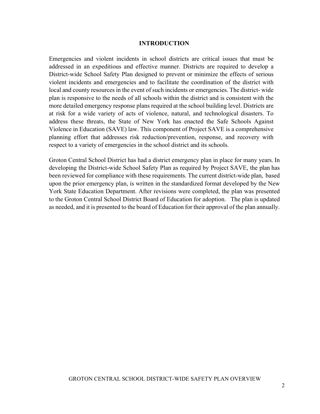#### **INTRODUCTION**

Emergencies and violent incidents in school districts are critical issues that must be addressed in an expeditious and effective manner. Districts are required to develop a District-wide School Safety Plan designed to prevent or minimize the effects of serious violent incidents and emergencies and to facilitate the coordination of the district with local and county resources in the event of such incidents or emergencies. The district- wide plan is responsive to the needs of all schools within the district and is consistent with the more detailed emergency response plans required at the school building level. Districts are at risk for a wide variety of acts of violence, natural, and technological disasters. To address these threats, the State of New York has enacted the Safe Schools Against Violence in Education (SAVE) law. This component of Project SAVE is a comprehensive planning effort that addresses risk reduction/prevention, response, and recovery with respect to a variety of emergencies in the school district and its schools.

Groton Central School District has had a district emergency plan in place for many years. In developing the District-wide School Safety Plan as required by Project SAVE, the plan has been reviewed for compliance with these requirements. The current district-wide plan, based upon the prior emergency plan, is written in the standardized format developed by the New York State Education Department. After revisions were completed, the plan was presented to the Groton Central School District Board of Education for adoption. The plan is updated as needed, and it is presented to the board of Education for their approval of the plan annually.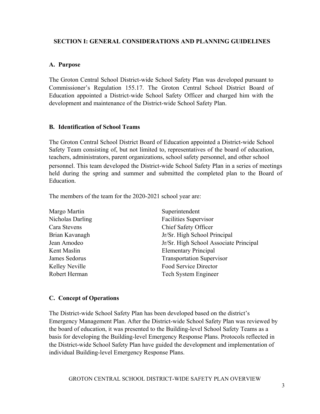# **SECTION I: GENERAL CONSIDERATIONS AND PLANNING GUIDELINES**

# **A. Purpose**

The Groton Central School District-wide School Safety Plan was developed pursuant to Commissioner's Regulation 155.17. The Groton Central School District Board of Education appointed a District-wide School Safety Officer and charged him with the development and maintenance of the District-wide School Safety Plan.

## **B. Identification of School Teams**

The Groton Central School District Board of Education appointed a District-wide School Safety Team consisting of, but not limited to, representatives of the board of education, teachers, administrators, parent organizations, school safety personnel, and other school personnel. This team developed the District-wide School Safety Plan in a series of meetings held during the spring and summer and submitted the completed plan to the Board of Education.

The members of the team for the 2020-2021 school year are:

| Margo Martin     | Superintendent                         |
|------------------|----------------------------------------|
| Nicholas Darling | <b>Facilities Supervisor</b>           |
| Cara Stevens     | Chief Safety Officer                   |
| Brian Kavanagh   | Jr/Sr. High School Principal           |
| Jean Amodeo      | Jr/Sr. High School Associate Principal |
| Kent Maslin      | <b>Elementary Principal</b>            |
| James Sedorus    | <b>Transportation Supervisor</b>       |
| Kelley Neville   | Food Service Director                  |
| Robert Herman    | Tech System Engineer                   |

#### **C. Concept of Operations**

The District-wide School Safety Plan has been developed based on the district's Emergency Management Plan. After the District-wide School Safety Plan was reviewed by the board of education, it was presented to the Building-level School Safety Teams as a basis for developing the Building-level Emergency Response Plans. Protocols reflected in the District-wide School Safety Plan have guided the development and implementation of individual Building-level Emergency Response Plans.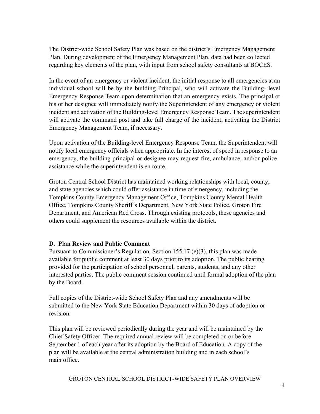The District-wide School Safety Plan was based on the district's Emergency Management Plan. During development of the Emergency Management Plan, data had been collected regarding key elements of the plan, with input from school safety consultants at BOCES.

In the event of an emergency or violent incident, the initial response to all emergencies at an individual school will be by the building Principal, who will activate the Building- level Emergency Response Team upon determination that an emergency exists. The principal or his or her designee will immediately notify the Superintendent of any emergency or violent incident and activation of the Building-level Emergency Response Team. The superintendent will activate the command post and take full charge of the incident, activating the District Emergency Management Team, if necessary.

Upon activation of the Building-level Emergency Response Team, the Superintendent will notify local emergency officials when appropriate. In the interest of speed in response to an emergency, the building principal or designee may request fire, ambulance, and/or police assistance while the superintendent is en route.

Groton Central School District has maintained working relationships with local, county, and state agencies which could offer assistance in time of emergency, including the Tompkins County Emergency Management Office, Tompkins County Mental Health Office, Tompkins County Sheriff's Department, New York State Police, Groton Fire Department, and American Red Cross. Through existing protocols, these agencies and others could supplement the resources available within the district.

# **D. Plan Review and Public Comment**

Pursuant to Commissioner's Regulation, Section 155.17 (e)(3), this plan was made available for public comment at least 30 days prior to its adoption. The public hearing provided for the participation of school personnel, parents, students, and any other interested parties. The public comment session continued until formal adoption of the plan by the Board.

Full copies of the District-wide School Safety Plan and any amendments will be submitted to the New York State Education Department within 30 days of adoption or revision.

This plan will be reviewed periodically during the year and will be maintained by the Chief Safety Officer. The required annual review will be completed on or before September 1 of each year after its adoption by the Board of Education. A copy of the plan will be available at the central administration building and in each school's main office.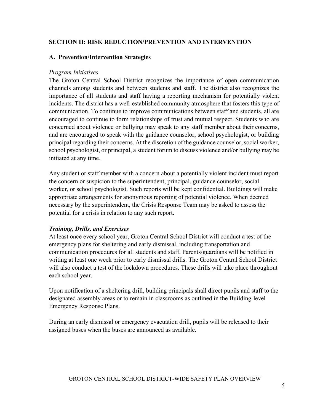# **SECTION II: RISK REDUCTION/PREVENTION AND INTERVENTION**

#### **A. Prevention/Intervention Strategies**

#### *Program Initiatives*

The Groton Central School District recognizes the importance of open communication channels among students and between students and staff. The district also recognizes the importance of all students and staff having a reporting mechanism for potentially violent incidents. The district has a well-established community atmosphere that fosters this type of communication. To continue to improve communications between staff and students, all are encouraged to continue to form relationships of trust and mutual respect. Students who are concerned about violence or bullying may speak to any staff member about their concerns, and are encouraged to speak with the guidance counselor, school psychologist, or building principal regarding their concerns. At the discretion of the guidance counselor, social worker, school psychologist, or principal, a student forum to discuss violence and/or bullying may be initiated at any time.

Any student or staff member with a concern about a potentially violent incident must report the concern or suspicion to the superintendent, principal, guidance counselor, social worker, or school psychologist. Such reports will be kept confidential. Buildings will make appropriate arrangements for anonymous reporting of potential violence. When deemed necessary by the superintendent, the Crisis Response Team may be asked to assess the potential for a crisis in relation to any such report.

#### *Training, Drills, and Exercises*

At least once every school year, Groton Central School District will conduct a test of the emergency plans for sheltering and early dismissal, including transportation and communication procedures for all students and staff. Parents/guardians will be notified in writing at least one week prior to early dismissal drills. The Groton Central School District will also conduct a test of the lockdown procedures. These drills will take place throughout each school year.

Upon notification of a sheltering drill, building principals shall direct pupils and staff to the designated assembly areas or to remain in classrooms as outlined in the Building-level Emergency Response Plans.

During an early dismissal or emergency evacuation drill, pupils will be released to their assigned buses when the buses are announced as available.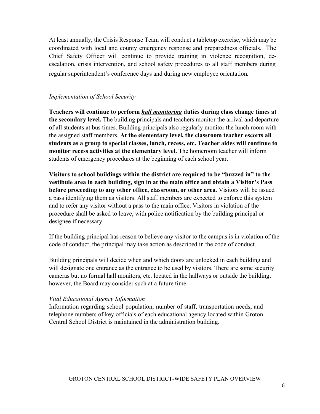At least annually, the Crisis Response Team will conduct a tabletop exercise, which may be coordinated with local and county emergency response and preparedness officials. The Chief Safety Officer will continue to provide training in violence recognition, deescalation, crisis intervention, and school safety procedures to all staff members during regular superintendent's conference days and during new employee orientation*.* 

# *Implementation of School Security*

**Teachers will continue to perform** *hall monitoring* **duties during class change times at the secondary level.** The building principals and teachers monitor the arrival and departure of all students at bus times. Building principals also regularly monitor the lunch room with the assigned staff members. **At the elementary level, the classroom teacher escorts all students as a group to special classes, lunch, recess, etc. Teacher aides will continue to monitor recess activities at the elementary level.** The homeroom teacher will inform students of emergency procedures at the beginning of each school year.

**Visitors to school buildings within the district are required to be "buzzed in" to the vestibule area in each building, sign in at the main office and obtain a Visitor's Pass before proceeding to any other office, classroom, or other area**. Visitors will be issued a pass identifying them as visitors. All staff members are expected to enforce this system and to refer any visitor without a pass to the main office. Visitors in violation of the procedure shall be asked to leave, with police notification by the building principal or designee if necessary.

If the building principal has reason to believe any visitor to the campus is in violation of the code of conduct, the principal may take action as described in the code of conduct.

Building principals will decide when and which doors are unlocked in each building and will designate one entrance as the entrance to be used by visitors. There are some security cameras but no formal hall monitors, etc. located in the hallways or outside the building, however, the Board may consider such at a future time.

# *Vital Educational Agency Information*

Information regarding school population, number of staff, transportation needs, and telephone numbers of key officials of each educational agency located within Groton Central School District is maintained in the administration building.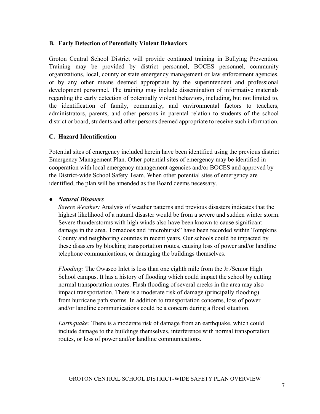### **B. Early Detection of Potentially Violent Behaviors**

Groton Central School District will provide continued training in Bullying Prevention. Training may be provided by district personnel, BOCES personnel, community organizations, local, county or state emergency management or law enforcement agencies, or by any other means deemed appropriate by the superintendent and professional development personnel. The training may include dissemination of informative materials regarding the early detection of potentially violent behaviors, including, but not limited to, the identification of family, community, and environmental factors to teachers, administrators, parents, and other persons in parental relation to students of the school district or board, students and other persons deemed appropriate to receive such information.

## **C. Hazard Identification**

Potential sites of emergency included herein have been identified using the previous district Emergency Management Plan. Other potential sites of emergency may be identified in cooperation with local emergency management agencies and/or BOCES and approved by the District-wide School Safety Team. When other potential sites of emergency are identified, the plan will be amended as the Board deems necessary.

## *● Natural Disasters*

*Severe Weather:* Analysis of weather patterns and previous disasters indicates that the highest likelihood of a natural disaster would be from a severe and sudden winter storm. Severe thunderstorms with high winds also have been known to cause significant damage in the area. Tornadoes and 'microbursts" have been recorded within Tompkins County and neighboring counties in recent years. Our schools could be impacted by these disasters by blocking transportation routes, causing loss of power and/or landline telephone communications, or damaging the buildings themselves.

*Flooding:* The Owasco Inlet is less than one eighth mile from the Jr./Senior High School campus. It has a history of flooding which could impact the school by cutting normal transportation routes. Flash flooding of several creeks in the area may also impact transportation. There is a moderate risk of damage (principally flooding) from hurricane path storms. In addition to transportation concerns, loss of power and/or landline communications could be a concern during a flood situation.

*Earthquake:* There is a moderate risk of damage from an earthquake, which could include damage to the buildings themselves, interference with normal transportation routes, or loss of power and/or landline communications.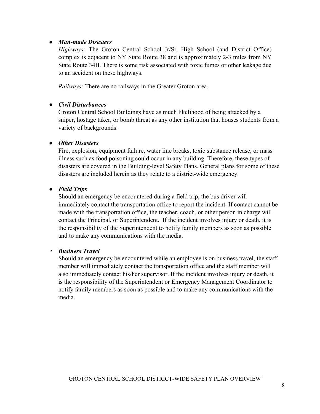### *● Man-made Disasters*

*Highways:* The Groton Central School Jr/Sr. High School (and District Office) complex is adjacent to NY State Route 38 and is approximately 2-3 miles from NY State Route 34B. There is some risk associated with toxic fumes or other leakage due to an accident on these highways.

*Railways:* There are no railways in the Greater Groton area.

# *● Civil Disturbances*

Groton Central School Buildings have as much likelihood of being attacked by a sniper, hostage taker, or bomb threat as any other institution that houses students from a variety of backgrounds.

## *● Other Disasters*

Fire, explosion, equipment failure, water line breaks, toxic substance release, or mass illness such as food poisoning could occur in any building. Therefore, these types of disasters are covered in the Building-level Safety Plans. General plans for some of these disasters are included herein as they relate to a district-wide emergency.

## *● Field Trips*

Should an emergency be encountered during a field trip, the bus driver will immediately contact the transportation office to report the incident. If contact cannot be made with the transportation office, the teacher, coach, or other person in charge will contact the Principal, or Superintendent. If the incident involves injury or death, it is the responsibility of the Superintendent to notify family members as soon as possible and to make any communications with the media.

#### ▪ *Business Travel*

Should an emergency be encountered while an employee is on business travel, the staff member will immediately contact the transportation office and the staff member will also immediately contact his/her supervisor. If the incident involves injury or death, it is the responsibility of the Superintendent or Emergency Management Coordinator to notify family members as soon as possible and to make any communications with the media.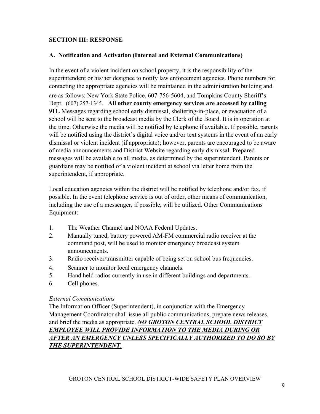# **SECTION III: RESPONSE**

### **A. Notification and Activation (Internal and External Communications)**

In the event of a violent incident on school property, it is the responsibility of the superintendent or his/her designee to notify law enforcement agencies. Phone numbers for contacting the appropriate agencies will be maintained in the administration building and are as follows: New York State Police, 607-756-5604, and Tompkins County Sheriff's Dept. (607) 257-1345. **All other county emergency services are accessed by calling 911.** Messages regarding school early dismissal, sheltering-in-place, or evacuation of a school will be sent to the broadcast media by the Clerk of the Board. It is in operation at the time. Otherwise the media will be notified by telephone if available. If possible, parents will be notified using the district's digital voice and/or text systems in the event of an early dismissal or violent incident (if appropriate); however, parents are encouraged to be aware of media announcements and District Website regarding early dismissal. Prepared messages will be available to all media, as determined by the superintendent. Parents or guardians may be notified of a violent incident at school via letter home from the superintendent, if appropriate.

Local education agencies within the district will be notified by telephone and/or fax, if possible. In the event telephone service is out of order, other means of communication, including the use of a messenger, if possible, will be utilized. Other Communications Equipment:

- 1. The Weather Channel and NOAA Federal Updates.
- 2. Manually tuned, battery powered AM-FM commercial radio receiver at the command post, will be used to monitor emergency broadcast system announcements.
- 3. Radio receiver/transmitter capable of being set on school bus frequencies.
- 4. Scanner to monitor local emergency channels.
- 5. Hand held radios currently in use in different buildings and departments.
- 6. Cell phones.

#### *External Communications*

The Information Officer (Superintendent), in conjunction with the Emergency Management Coordinator shall issue all public communications, prepare news releases, and brief the media as appropriate. *NO GROTON CENTRAL SCHOOL DISTRICT EMPLOYEE WILL PROVIDE INFORMATION TO THE MEDIA DURING OR AFTER AN EMERGENCY UNLESS SPECIFICALLY AUTHORIZED TO DO SO BY THE SUPERINTENDENT.*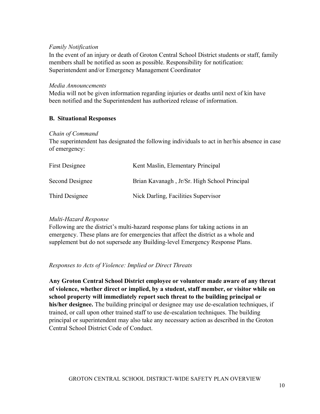#### *Family Notification*

In the event of an injury or death of Groton Central School District students or staff, family members shall be notified as soon as possible. Responsibility for notification: Superintendent and/or Emergency Management Coordinator

#### *Media Announcements*

Media will not be given information regarding injuries or deaths until next of kin have been notified and the Superintendent has authorized release of information.

# **B. Situational Responses**

#### *Chain of Command*

The superintendent has designated the following individuals to act in her/his absence in case of emergency:

| <b>First Designee</b> | Kent Maslin, Elementary Principal            |
|-----------------------|----------------------------------------------|
| Second Designee       | Brian Kavanagh, Jr/Sr. High School Principal |
| Third Designee        | Nick Darling, Facilities Supervisor          |

#### *Multi-Hazard Response*

Following are the district's multi-hazard response plans for taking actions in an emergency. These plans are for emergencies that affect the district as a whole and supplement but do not supersede any Building-level Emergency Response Plans.

#### *Responses to Acts of Violence: Implied or Direct Threats*

**Any Groton Central School District employee or volunteer made aware of any threat of violence, whether direct or implied, by a student, staff member, or visitor while on school property will immediately report such threat to the building principal or his/her designee.** The building principal or designee may use de-escalation techniques, if trained, or call upon other trained staff to use de-escalation techniques. The building principal or superintendent may also take any necessary action as described in the Groton Central School District Code of Conduct.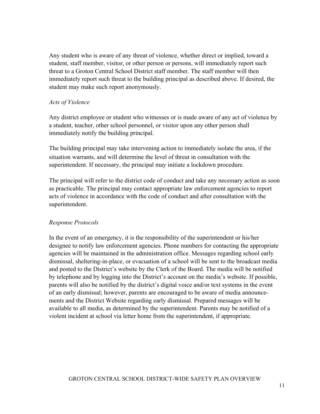Any student who is aware of any threat of violence, whether direct or implied, toward a student, staff member, visitor, or other person or persons, will immediately report such threat to a Groton Central School District staff member. The staff member will then immediately report such threat to the building principal as described above. If desired, the student may make such report anonymously.

## *Acts of Violence*

Any district employee or student who witnesses or is made aware of any act of violence by a student, teacher, other school personnel, or visitor upon any other person shall immediately notify the building principal.

The building principal may take intervening action to immediately isolate the area, if the situation warrants, and will determine the level of threat in consultation with the superintendent. If necessary, the principal may initiate a lockdown procedure.

The principal will refer to the district code of conduct and take any necessary action as soon as practicable. The principal may contact appropriate law enforcement agencies to report acts of violence in accordance with the code of conduct and after consultation with the superintendent.

# *Response Protocols*

In the event of an emergency, it is the responsibility of the superintendent or his/her designee to notify law enforcement agencies. Phone numbers for contacting the appropriate agencies will be maintained in the administration office. Messages regarding school early dismissal, sheltering-in-place, or evacuation of a school will be sent to the broadcast media and posted to the District's website by the Clerk of the Board. The media will be notified by telephone and by logging into the District's account on the media's website. If possible, parents will also be notified by the district's digital voice and/or text systems in the event of an early dismissal; however, parents are encouraged to be aware of media announcements and the District Website regarding early dismissal. Prepared messages will be available to all media, as determined by the superintendent. Parents may be notified of a violent incident at school via letter home from the superintendent, if appropriate.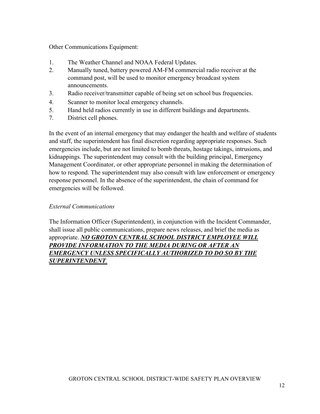Other Communications Equipment:

- 1. The Weather Channel and NOAA Federal Updates.
- 2. Manually tuned, battery powered AM-FM commercial radio receiver at the command post, will be used to monitor emergency broadcast system announcements.
- 3. Radio receiver/transmitter capable of being set on school bus frequencies.
- 4. Scanner to monitor local emergency channels.
- 5. Hand held radios currently in use in different buildings and departments.
- 7. District cell phones.

In the event of an internal emergency that may endanger the health and welfare of students and staff, the superintendent has final discretion regarding appropriate responses. Such emergencies include, but are not limited to bomb threats, hostage takings, intrusions, and kidnappings. The superintendent may consult with the building principal, Emergency Management Coordinator, or other appropriate personnel in making the determination of how to respond. The superintendent may also consult with law enforcement or emergency response personnel. In the absence of the superintendent, the chain of command for emergencies will be followed.

## *External Communications*

The Information Officer (Superintendent), in conjunction with the Incident Commander, shall issue all public communications, prepare news releases, and brief the media as appropriate. *NO GROTON CENTRAL SCHOOL DISTRICT EMPLOYEE WILL PROVIDE INFORMATION TO THE MEDIA DURING OR AFTER AN EMERGENCY UNLESS SPECIFICALLY AUTHORIZED TO DO SO BY THE SUPERINTENDENT.*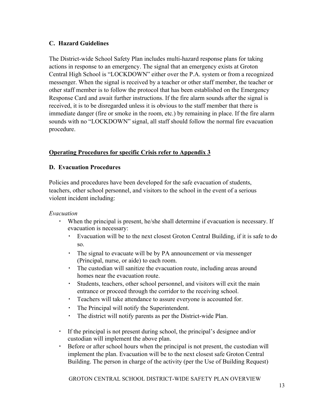# **C. Hazard Guidelines**

The District-wide School Safety Plan includes multi-hazard response plans for taking actions in response to an emergency. The signal that an emergency exists at Groton Central High School is "LOCKDOWN" either over the P.A. system or from a recognized messenger. When the signal is received by a teacher or other staff member, the teacher or other staff member is to follow the protocol that has been established on the Emergency Response Card and await further instructions. If the fire alarm sounds after the signal is received, it is to be disregarded unless it is obvious to the staff member that there is immediate danger (fire or smoke in the room, etc.) by remaining in place. If the fire alarm sounds with no "LOCKDOWN" signal, all staff should follow the normal fire evacuation procedure.

# **Operating Procedures for specific Crisis refer to Appendix 3**

## **D. Evacuation Procedures**

Policies and procedures have been developed for the safe evacuation of students, teachers, other school personnel, and visitors to the school in the event of a serious violent incident including:

#### *Evacuation*

- When the principal is present, he/she shall determine if evacuation is necessary. If evacuation is necessary:
	- Evacuation will be to the next closest Groton Central Building, if it is safe to do so.
	- The signal to evacuate will be by PA announcement or via messenger (Principal, nurse, or aide) to each room.
	- The custodian will sanitize the evacuation route, including areas around homes near the evacuation route.
	- Students, teachers, other school personnel, and visitors will exit the main entrance or proceed through the corridor to the receiving school.
	- Teachers will take attendance to assure everyone is accounted for.
	- The Principal will notify the Superintendent.
	- The district will notify parents as per the District-wide Plan.
- If the principal is not present during school, the principal's designee and/or custodian will implement the above plan.
- Before or after school hours when the principal is not present, the custodian will implement the plan. Evacuation will be to the next closest safe Groton Central Building. The person in charge of the activity (per the Use of Building Request)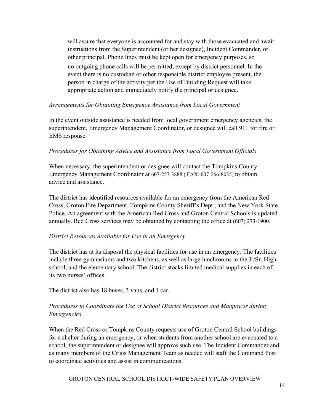will assure that everyone is accounted for and stay with those evacuated and await instructions from the Superintendent (or her designee), Incident Commander, or other principal. Phone lines must be kept open for emergency purposes, so no outgoing phone calls will be permitted, except by district personnel. In the event there is no custodian or other responsible district employee present, the person in charge of the activity per the Use of Building Request will take appropriate action and immediately notify the principal or designee.

## *Arrangements for Obtaining Emergency Assistance from Local Government*

In the event outside assistance is needed from local government emergency agencies, the superintendent, Emergency Management Coordinator, or designee will call 911 for fire or EMS response.

## *Procedures for Obtaining Advice and Assistance from Local Government Officials*

When necessary, the superintendent or designee will contact the Tompkins County Emergency Management Coordinator at 607-257-3888 ( FAX: 607-266-8035) to obtain advice and assistance.

The district has identified resources available for an emergency from the American Red Cross, Groton Fire Department, Tompkins County Sheriff's Dept., and the New York State Police. An agreement with the American Red Cross and Groton Central Schools is updated annually. Red Cross services may be obtained by contacting the office at (607) 273-1900.

# *District Resources Available for Use in an Emergency*

The district has at its disposal the physical facilities for use in an emergency. The facilities include three gymnasiums and two kitchens, as well as large lunchrooms in the Jr/Sr. High school, and the elementary school. The district stocks limited medical supplies in each of its two nurses' offices.

The district also has 18 buses, 3 vans, and 1 car.

# *Procedures to Coordinate the Use of School District Resources and Manpower during Emergencies*

When the Red Cross or Tompkins County requests use of Groton Central School buildings for a shelter during an emergency, or when students from another school are evacuated to a school, the superintendent or designee will approve such use. The Incident Commander and as many members of the Crisis Management Team as needed will staff the Command Post to coordinate activities and assist in communications.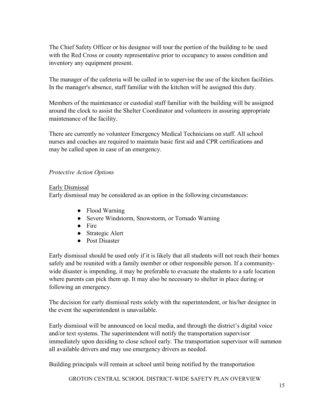The Chief Safety Officer or his designee will tour the portion of the building to be used with the Red Cross or county representative prior to occupancy to assess condition and inventory any equipment present.

The manager of the cafeteria will be called in to supervise the use of the kitchen facilities. In the manager's absence, staff familiar with the kitchen will be assigned this duty.

Members of the maintenance or custodial staff familiar with the building will be assigned around the clock to assist the Shelter Coordinator and volunteers in assuring appropriate maintenance of the facility.

There are currently no volunteer Emergency Medical Technicians on staff. All school nurses and coaches are required to maintain basic first aid and CPR certifications and may be called upon in case of an emergency.

# *Protective Action Options*

#### Early Dismissal

Early dismissal may be considered as an option in the following circumstances:

- Flood Warning
- Severe Windstorm, Snowstorm, or Tornado Warning
- Fire
- Strategic Alert
- Post Disaster

Early dismissal should be used only if it is likely that all students will not reach their homes safely and be reunited with a family member or other responsible person. If a communitywide disaster is impending, it may be preferable to evacuate the students to a safe location where parents can pick them up. It may also be necessary to shelter in place during or following an emergency.

The decision for early dismissal rests solely with the superintendent, or his/her designee in the event the superintendent is unavailable.

Early dismissal will be announced on local media, and through the district's digital voice and/or text systems. The superintendent will notify the transportation supervisor immediately upon deciding to close school early. The transportation supervisor will summon all available drivers and may use emergency drivers as needed.

Building principals will remain at school until being notified by the transportation

GROTON CENTRAL SCHOOL DISTRICT-WIDE SAFETY PLAN OVERVIEW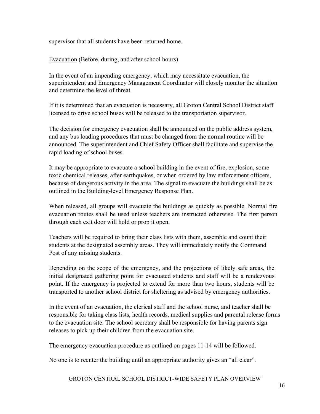supervisor that all students have been returned home.

Evacuation (Before, during, and after school hours)

In the event of an impending emergency, which may necessitate evacuation, the superintendent and Emergency Management Coordinator will closely monitor the situation and determine the level of threat.

If it is determined that an evacuation is necessary, all Groton Central School District staff licensed to drive school buses will be released to the transportation supervisor.

The decision for emergency evacuation shall be announced on the public address system, and any bus loading procedures that must be changed from the normal routine will be announced. The superintendent and Chief Safety Officer shall facilitate and supervise the rapid loading of school buses.

It may be appropriate to evacuate a school building in the event of fire, explosion, some toxic chemical releases, after earthquakes, or when ordered by law enforcement officers, because of dangerous activity in the area. The signal to evacuate the buildings shall be as outlined in the Building-level Emergency Response Plan.

When released, all groups will evacuate the buildings as quickly as possible. Normal fire evacuation routes shall be used unless teachers are instructed otherwise. The first person through each exit door will hold or prop it open.

Teachers will be required to bring their class lists with them, assemble and count their students at the designated assembly areas. They will immediately notify the Command Post of any missing students.

Depending on the scope of the emergency, and the projections of likely safe areas, the initial designated gathering point for evacuated students and staff will be a rendezvous point. If the emergency is projected to extend for more than two hours, students will be transported to another school district for sheltering as advised by emergency authorities.

In the event of an evacuation, the clerical staff and the school nurse, and teacher shall be responsible for taking class lists, health records, medical supplies and parental release forms to the evacuation site. The school secretary shall be responsible for having parents sign releases to pick up their children from the evacuation site.

The emergency evacuation procedure as outlined on pages 11-14 will be followed.

No one is to reenter the building until an appropriate authority gives an "all clear".

GROTON CENTRAL SCHOOL DISTRICT-WIDE SAFETY PLAN OVERVIEW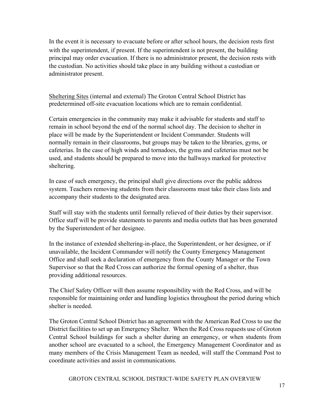In the event it is necessary to evacuate before or after school hours, the decision rests first with the superintendent, if present. If the superintendent is not present, the building principal may order evacuation. If there is no administrator present, the decision rests with the custodian. No activities should take place in any building without a custodian or administrator present.

Sheltering Sites (internal and external) The Groton Central School District has predetermined off-site evacuation locations which are to remain confidential.

Certain emergencies in the community may make it advisable for students and staff to remain in school beyond the end of the normal school day. The decision to shelter in place will be made by the Superintendent or Incident Commander. Students will normally remain in their classrooms, but groups may be taken to the libraries, gyms, or cafeterias. In the case of high winds and tornadoes, the gyms and cafeterias must not be used, and students should be prepared to move into the hallways marked for protective sheltering.

In case of such emergency, the principal shall give directions over the public address system. Teachers removing students from their classrooms must take their class lists and accompany their students to the designated area.

Staff will stay with the students until formally relieved of their duties by their supervisor. Office staff will be provide statements to parents and media outlets that has been generated by the Superintendent of her designee.

In the instance of extended sheltering-in-place, the Superintendent, or her designee, or if unavailable, the Incident Commander will notify the County Emergency Management Office and shall seek a declaration of emergency from the County Manager or the Town Supervisor so that the Red Cross can authorize the formal opening of a shelter, thus providing additional resources.

The Chief Safety Officer will then assume responsibility with the Red Cross, and will be responsible for maintaining order and handling logistics throughout the period during which shelter is needed.

The Groton Central School District has an agreement with the American Red Cross to use the District facilities to set up an Emergency Shelter. When the Red Cross requests use of Groton Central School buildings for such a shelter during an emergency, or when students from another school are evacuated to a school, the Emergency Management Coordinator and as many members of the Crisis Management Team as needed, will staff the Command Post to coordinate activities and assist in communications.